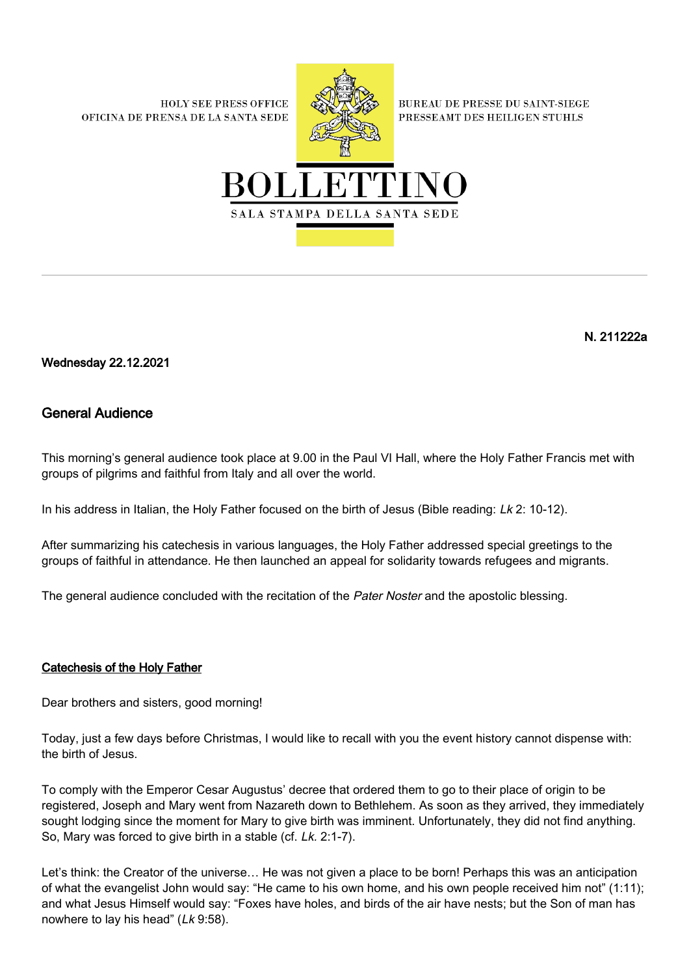**HOLY SEE PRESS OFFICE** OFICINA DE PRENSA DE LA SANTA SEDE



**BUREAU DE PRESSE DU SAINT-SIEGE** PRESSEAMT DES HEILIGEN STUHLS



N. 211222a

Wednesday 22.12.2021

## General Audience

This morning's general audience took place at 9.00 in the Paul VI Hall, where the Holy Father Francis met with groups of pilgrims and faithful from Italy and all over the world.

In his address in Italian, the Holy Father focused on the birth of Jesus (Bible reading: Lk 2: 10-12).

After summarizing his catechesis in various languages, the Holy Father addressed special greetings to the groups of faithful in attendance. He then launched an appeal for solidarity towards refugees and migrants.

The general audience concluded with the recitation of the Pater Noster and the apostolic blessing.

## Catechesis of the Holy Father

Dear brothers and sisters, good morning!

Today, just a few days before Christmas, I would like to recall with you the event history cannot dispense with: the birth of Jesus.

To comply with the Emperor Cesar Augustus' decree that ordered them to go to their place of origin to be registered, Joseph and Mary went from Nazareth down to Bethlehem. As soon as they arrived, they immediately sought lodging since the moment for Mary to give birth was imminent. Unfortunately, they did not find anything. So, Mary was forced to give birth in a stable (cf. Lk. 2:1-7).

Let's think: the Creator of the universe… He was not given a place to be born! Perhaps this was an anticipation of what the evangelist John would say: "He came to his own home, and his own people received him not" (1:11); and what Jesus Himself would say: "Foxes have holes, and birds of the air have nests; but the Son of man has nowhere to lay his head" (Lk 9:58).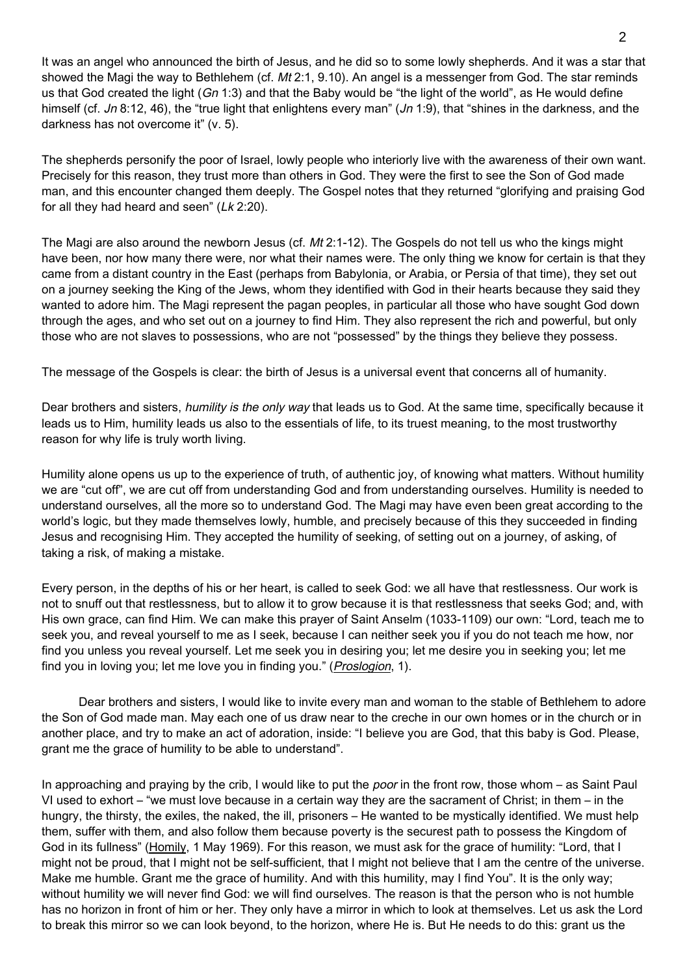It was an angel who announced the birth of Jesus, and he did so to some lowly shepherds. And it was a star that showed the Magi the way to Bethlehem (cf. Mt 2:1, 9.10). An angel is a messenger from God. The star reminds us that God created the light  $(Gn 1:3)$  and that the Baby would be "the light of the world", as He would define himself (cf. Jn 8:12, 46), the "true light that enlightens every man" (Jn 1:9), that "shines in the darkness, and the darkness has not overcome it" (v. 5).

The shepherds personify the poor of Israel, lowly people who interiorly live with the awareness of their own want. Precisely for this reason, they trust more than others in God. They were the first to see the Son of God made man, and this encounter changed them deeply. The Gospel notes that they returned "glorifying and praising God for all they had heard and seen"  $(Lk 2:20)$ .

The Magi are also around the newborn Jesus (cf. Mt 2:1-12). The Gospels do not tell us who the kings might have been, nor how many there were, nor what their names were. The only thing we know for certain is that they came from a distant country in the East (perhaps from Babylonia, or Arabia, or Persia of that time), they set out on a journey seeking the King of the Jews, whom they identified with God in their hearts because they said they wanted to adore him. The Magi represent the pagan peoples, in particular all those who have sought God down through the ages, and who set out on a journey to find Him. They also represent the rich and powerful, but only those who are not slaves to possessions, who are not "possessed" by the things they believe they possess.

The message of the Gospels is clear: the birth of Jesus is a universal event that concerns all of humanity.

Dear brothers and sisters, humility is the only way that leads us to God. At the same time, specifically because it leads us to Him, humility leads us also to the essentials of life, to its truest meaning, to the most trustworthy reason for why life is truly worth living.

Humility alone opens us up to the experience of truth, of authentic joy, of knowing what matters. Without humility we are "cut off", we are cut off from understanding God and from understanding ourselves. Humility is needed to understand ourselves, all the more so to understand God. The Magi may have even been great according to the world's logic, but they made themselves lowly, humble, and precisely because of this they succeeded in finding Jesus and recognising Him. They accepted the humility of seeking, of setting out on a journey, of asking, of taking a risk, of making a mistake.

Every person, in the depths of his or her heart, is called to seek God: we all have that restlessness. Our work is not to snuff out that restlessness, but to allow it to grow because it is that restlessness that seeks God; and, with His own grace, can find Him. We can make this prayer of Saint Anselm (1033-1109) our own: "Lord, teach me to seek you, and reveal yourself to me as I seek, because I can neither seek you if you do not teach me how, nor find you unless you reveal yourself. Let me seek you in desiring you; let me desire you in seeking you; let me find you in loving you; let me love you in finding you." (Proslogion, 1).

 Dear brothers and sisters, I would like to invite every man and woman to the stable of Bethlehem to adore the Son of God made man. May each one of us draw near to the creche in our own homes or in the church or in another place, and try to make an act of adoration, inside: "I believe you are God, that this baby is God. Please, grant me the grace of humility to be able to understand".

In approaching and praying by the crib, I would like to put the *poor* in the front row, those whom – as Saint Paul VI used to exhort – "we must love because in a certain way they are the sacrament of Christ; in them – in the hungry, the thirsty, the exiles, the naked, the ill, prisoners – He wanted to be mystically identified. We must help them, suffer with them, and also follow them because poverty is the securest path to possess the Kingdom of God in its fullness" ([Homily,](https://www.vatican.va/content/paul-vi/it/homilies/1969/documents/hf_p-vi_hom_19690501.html) 1 May 1969). For this reason, we must ask for the grace of humility: "Lord, that I might not be proud, that I might not be self-sufficient, that I might not believe that I am the centre of the universe. Make me humble. Grant me the grace of humility. And with this humility, may I find You". It is the only way; without humility we will never find God: we will find ourselves. The reason is that the person who is not humble has no horizon in front of him or her. They only have a mirror in which to look at themselves. Let us ask the Lord to break this mirror so we can look beyond, to the horizon, where He is. But He needs to do this: grant us the